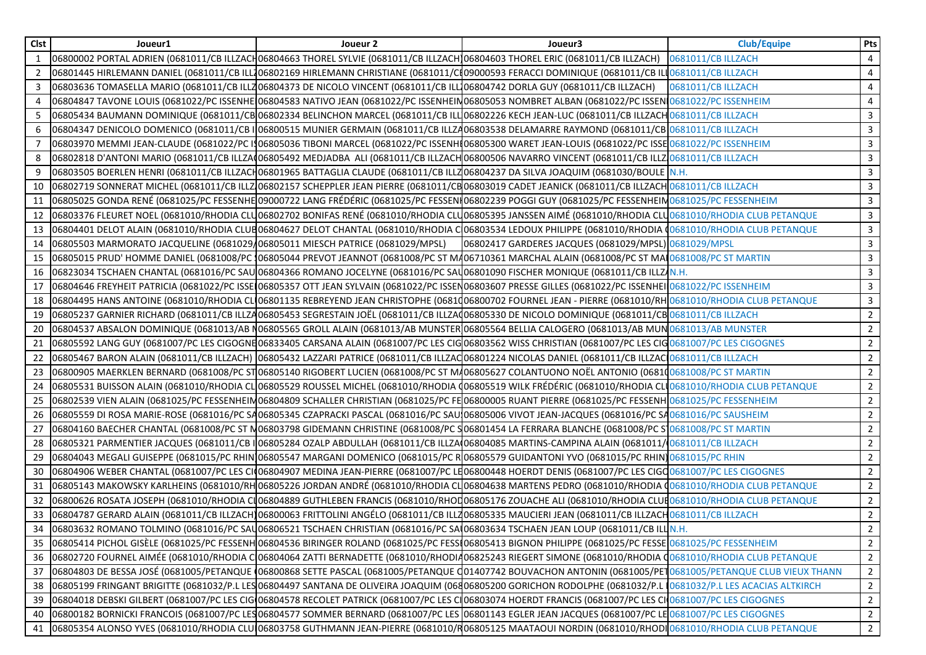| Clst | Joueur1                                                                          | Joueur 2                                                                                                                                                                    | Joueur3                                               | <b>Club/Equipe</b> | Pts            |
|------|----------------------------------------------------------------------------------|-----------------------------------------------------------------------------------------------------------------------------------------------------------------------------|-------------------------------------------------------|--------------------|----------------|
| 1    |                                                                                  | 0681011/CB ILLZACH 0681011/CB ILLZACH06804663 THOREL SYLVIE (0681011/CB ILLZACH 06804603 THOREL ERIC (0681011/CB ILLZACH) 0681011/CB ILLZACH                                |                                                       |                    | $\overline{4}$ |
| 2    |                                                                                  | 06801445 HIRLEMANN DANIEL (0681011/CB ILL106802169 HIRLEMANN CHRISTIANE (0681011/C109000593 FERACCI DOMINIQUE (0681011/CB ILL0681011/CB ILLZACH                             |                                                       |                    | 4              |
| 3    |                                                                                  | 06803636 TOMASELLA MARIO (0681011/CB ILLZ06804373 DE NICOLO VINCENT (0681011/CB ILL106804742 DORLA GUY (0681011/CB ILLZACH)                                                 |                                                       | 0681011/CB ILLZACH | 4              |
|      |                                                                                  | 06804847 TAVONE LOUIS (0681022/PC ISSENHE 06804583 NATIVO JEAN (0681022/PC ISSENHEIN 06805053 NOMBRET ALBAN (0681022/PC ISSEN 0681022/PC ISSENHEIM                          |                                                       |                    | 4              |
| -5   |                                                                                  | 06805434 BAUMANN DOMINIQUE (0681011/CB 06802334 BELINCHON MARCEL (0681011/CB ILL 06802226 KECH JEAN-LUC (0681011/CB ILLZACH 0681011/CB ILLZACH                              |                                                       |                    | 3              |
| 6    |                                                                                  | 06804347 DENICOLO DOMENICO (0681011/CB I 06800515 MUNIER GERMAIN (0681011/CB ILLZA06803538 DELAMARRE RAYMOND (0681011/CB 0681011/CB ILLZACH                                 |                                                       |                    | $\mathbf{3}$   |
| 7    |                                                                                  | 06803970 MEMMI JEAN-CLAUDE (0681022/PC ISO6805036 TIBONI MARCEL (0681022/PC ISSENHI 06805300 WARET JEAN-LOUIS (0681022/PC ISSE 0681022/PC ISSENHEIM                         |                                                       |                    | 3              |
| 8    |                                                                                  | 06802818 D'ANTONI MARIO (0681011/CB ILLZA 06805492 MEDJADBA ALI (0681011/CB ILLZACH 06800506 NAVARRO VINCENT (0681011/CB ILLZ 0681011/CB ILLZ 0681011/CB ILLZ ACH           |                                                       |                    | 3              |
| 9    |                                                                                  | 06803505 BOERLEN HENRI (0681011/CB ILLZACH06801965 BATTAGLIA CLAUDE (0681011/CB ILLZ06804237 DA SILVA JOAQUIM (0681030/BOULE N.H.                                           |                                                       |                    | 3              |
| 10   |                                                                                  | 06802719 SONNERAT MICHEL (0681011/CB ILLZ 06802157 SCHEPPLER JEAN PIERRE (0681011/CB 06803019 CADET JEANICK (0681011/CB ILLZACH 0681011/CB ILLZACH                          |                                                       |                    | 3              |
| 11   |                                                                                  | 06805025 GONDA RENÉ (0681025/PC FESSENHE 09000722 LANG FRÉDÉRIC (0681025/PC FESSEN 06802239 POGGI GUY (0681025/PC FESSENHEIM 0681025/PC FESSENHEIM                          |                                                       |                    | $\mathbf{3}$   |
| 12   |                                                                                  | 06803376 FLEURET NOEL (0681010/RHODIA CLU06802702 BONIFAS RENÉ (0681010/RHODIA CLU06805395 JANSSEN AIMÉ (0681010/RHODIA CLU0681010/RHODIA CLUB PETANQUE                     |                                                       |                    | $\mathbf{3}$   |
|      |                                                                                  | 13 06804401 DELOT ALAIN (0681010/RHODIA CLUB06804627 DELOT CHANTAL (0681010/RHODIA C 06803534 LEDOUX PHILIPPE (0681010/RHODIA 00681010/RHODIA CLUB PETANQUE                 |                                                       |                    | $\overline{3}$ |
|      | 14 06805503 MARMORATO JACQUELINE (0681029/06805011 MIESCH PATRICE (0681029/MPSL) |                                                                                                                                                                             | 06802417 GARDERES JACQUES (0681029/MPSL) 0681029/MPSL |                    | 3              |
|      |                                                                                  | 15   06805015 PRUD' HOMME DANIEL (0681008/PC 106805044 PREVOT JEANNOT (0681008/PC ST MA06710361 MARCHAL ALAIN (0681008/PC ST MAI 0681008/PC ST MAI 0681008/PC ST MARTIN     |                                                       |                    | 3              |
| 16   |                                                                                  | 06823034 TSCHAEN CHANTAL (0681016/PC SAU 06804366 ROMANO JOCELYNE (0681016/PC SAU 06801090 FISCHER MONIQUE (0681011/CB ILLZ N.H.                                            |                                                       |                    | 3              |
| 17   |                                                                                  | 06804646 FREYHEIT PATRICIA (0681022/PC ISSE 06805357 OTT JEAN SYLVAIN (0681022/PC ISSEN06803607 PRESSE GILLES (0681022/PC ISSENHEI 0681022/PC ISSENHEI 0681022/PC ISSENHEIM |                                                       |                    | $\mathbf{3}$   |
| 18   |                                                                                  | 06804495 HANS ANTOINE (0681010/RHODIA CLI06801135 REBREYEND JEAN CHRISTOPHE (0681006800702 FOURNEL JEAN - PIERRE (0681010/RHO681010/RHODIA CLUB PETANQUE                    |                                                       |                    | 3              |
| 19   |                                                                                  | 06805237 GARNIER RICHARD (0681011/CB ILLZA06805453 SEGRESTAIN JOËL (0681011/CB ILLZA006805330 DE NICOLO DOMINIQUE (0681011/CB 0681011/CB ILLZACH                            |                                                       |                    | $\mathbf{2}$   |
| 20   |                                                                                  | 06804537 ABSALON DOMINIQUE (0681013/AB N06805565 GROLL ALAIN (0681013/AB MUNSTER 06805564 BELLIA CALOGERO (0681013/AB MUN 0681013/AB MUNSTER                                |                                                       |                    | $\overline{2}$ |
| 21   |                                                                                  | 06805592 LANG GUY (0681007/PC LES CIGOGNE06833405 CARSANA ALAIN (0681007/PC LES CIGO6803562 WISS CHRISTIAN (0681007/PC LES CIGO681007/PC LES CIGO681007/PC LES CIGOGNES     |                                                       |                    | $\overline{2}$ |
| 22   |                                                                                  | 06805467 BARON ALAIN (0681011/CB ILLZACH) 06805432 LAZZARI PATRICE (0681011/CB ILLZAQ06801224 NICOLAS DANIEL (0681011/CB ILLZAC 0681011/CB ILLZACH                          |                                                       |                    | $\overline{2}$ |
| 23   |                                                                                  | 06800905 MAERKLEN BERNARD (0681008/PC ST06805140 RIGOBERT LUCIEN (0681008/PC ST MA06805627 COLANTUONO NOËL ANTONIO (0681008/PC ST MARTIN                                    |                                                       |                    | $\overline{2}$ |
| 24   |                                                                                  | 06805531 BUISSON ALAIN (0681010/RHODIA CLO6805529 ROUSSEL MICHEL (0681010/RHODIA (06805519 WILK FRÉDÉRIC (0681010/RHODIA CLO681010/RHODIA CLUB PETANQUE                     |                                                       |                    | $2^{\circ}$    |
| 25   |                                                                                  | 06802539 VIEN ALAIN (0681025/PC FESSENHEIM06804809 SCHALLER CHRISTIAN (0681025/PC FE 06800005 RUANT PIERRE (0681025/PC FESSENH 0681025/PC FESSENH 0681025/PC FESSENHEIM     |                                                       |                    | $2^{\circ}$    |
| 26   |                                                                                  | 06805559 DI ROSA MARIE-ROSE (0681016/PC SA06805345 CZAPRACKI PASCAL (0681016/PC SAUJ06805006 VIVOT JEAN-JACQUES (0681016/PC SA0681016/PC SAUSHEIM                           |                                                       |                    | $\overline{2}$ |
| 27   |                                                                                  | 06804160 BAECHER CHANTAL (0681008/PC ST M06803798 GIDEMANN CHRISTINE (0681008/PC S06801454 LA FERRARA BLANCHE (0681008/PC ST0681008/PC ST MARTIN                            |                                                       |                    | $\overline{2}$ |
| 28   |                                                                                  | 06805321 PARMENTIER JACQUES (0681011/CB I 06805284 OZALP ABDULLAH (0681011/CB ILLZA 06804085 MARTINS-CAMPINA ALAIN (0681011/ 0681011/CB ILLZACH                             |                                                       |                    | $\overline{2}$ |
| 29   |                                                                                  | 06804043 MEGALI GUISEPPE (0681015/PC RHIN 06805547 MARGANI DOMENICO (0681015/PC R 06805579 GUIDANTONI YVO (0681015/PC RHIN 0681015/PC RHIN                                  |                                                       |                    | $\overline{2}$ |
| 30   |                                                                                  | 06804906 WEBER CHANTAL (0681007/PC LES CI(06804907 MEDINA JEAN-PIERRE (0681007/PC LE06800448 HOERDT DENIS (0681007/PC LES CIGQ0681007/PC LES CIGQ0681007/PC LES CIGQGNES    |                                                       |                    | $2^{\circ}$    |
| 31   |                                                                                  | 06805143 MAKOWSKY KARLHEINS (0681010/RHO6805226 JORDAN ANDRÉ (0681010/RHODIA CLO6804638 MARTENS PEDRO (0681010/RHODIA (0681010/RHODIA CLUB PETANQUE                         |                                                       |                    | $\overline{2}$ |
|      |                                                                                  | 32 06800626 ROSATA JOSEPH (0681010/RHODIA CIO6804889 GUTHLEBEN FRANCIS (0681010/RHOD06805176 ZOUACHE ALI (0681010/RHODIA CLUB0681010/RHODIA CLUB PETANQUE                   |                                                       |                    | $\overline{2}$ |
|      |                                                                                  | 33   06804787 GERARD ALAIN (0681011/CB ILLZACH) 06800063 FRITTOLINI ANGÉLO (0681011/CB ILLZ06805335 MAUCIERI JEAN (0681011/CB ILLZACH 0681011/CB ILLZACH                    |                                                       |                    | $\overline{2}$ |
|      |                                                                                  | 34 06803632 ROMANO TOLMINO (0681016/PC SALO6806521 TSCHAEN CHRISTIAN (0681016/PC SALO6803634 TSCHAEN JEAN LOUP (0681011/CB ILLIN.H.                                         |                                                       |                    | $\overline{2}$ |
|      |                                                                                  | 35 06805414 PICHOL GISÈLE (0681025/PC FESSENH 06804536 BIRINGER ROLAND (0681025/PC FESSI06805413 BIGNON PHILIPPE (0681025/PC FESSE 0681025/PC FESSENHEIM                    |                                                       |                    | $\overline{2}$ |
| 36   |                                                                                  | 06802720 FOURNEL AIMÉE (0681010/RHODIA C 06804064 ZATTI BERNADETTE (0681010/RHODI406825243 RIEGERT SIMONE (0681010/RHODIA CO681010/RHODIA CLUB PETANQUE                     |                                                       |                    | $\mathbf{2}$   |
| 37   |                                                                                  | 06804803 DE BESSA JOSÉ (0681005/PETANQUE (06800868 SETTE PASCAL (0681005/PETANQUE C01407742 BOUVACHON ANTONIN (0681005/PET0681005/PETANQUE CLUB VIEUX THANN                 |                                                       |                    | $\mathbf{2}$   |
| 38   |                                                                                  | 06805199 FRINGANT BRIGITTE (0681032/P.L LES 06804497 SANTANA DE OLIVEIRA JOAQUIM (06806805200 GORICHON RODOLPHE (0681032/P.L 10681032/P.L LES ACACIAS ALTKIRCH              |                                                       |                    | $\mathbf{2}$   |
|      |                                                                                  | 39  06804018 DEBSKI GILBERT (0681007/PC LES CIGO6804578 RECOLET PATRICK (0681007/PC LES CIO6803074 HOERDT FRANCIS (0681007/PC LES CIO681007/PC LES CIGOGNES                 |                                                       |                    | $\overline{2}$ |
| 40   |                                                                                  | 06800182 BORNICKI FRANCOIS (0681007/PC LES06804577 SOMMER BERNARD (0681007/PC LES 06801143 EGLER JEAN JACQUES (0681007/PC LE 0681007/PC LES CIGOGNES                        |                                                       |                    | $\overline{2}$ |
|      |                                                                                  | 41  06805354 ALONSO YVES (0681010/RHODIA CLUI06803758 GUTHMANN JEAN-PIERRE (0681010/RO6805125 MAATAOUI NORDIN (0681010/RHODI0681010/RHODIA CLUB PETANQUE                    |                                                       |                    | $\overline{2}$ |